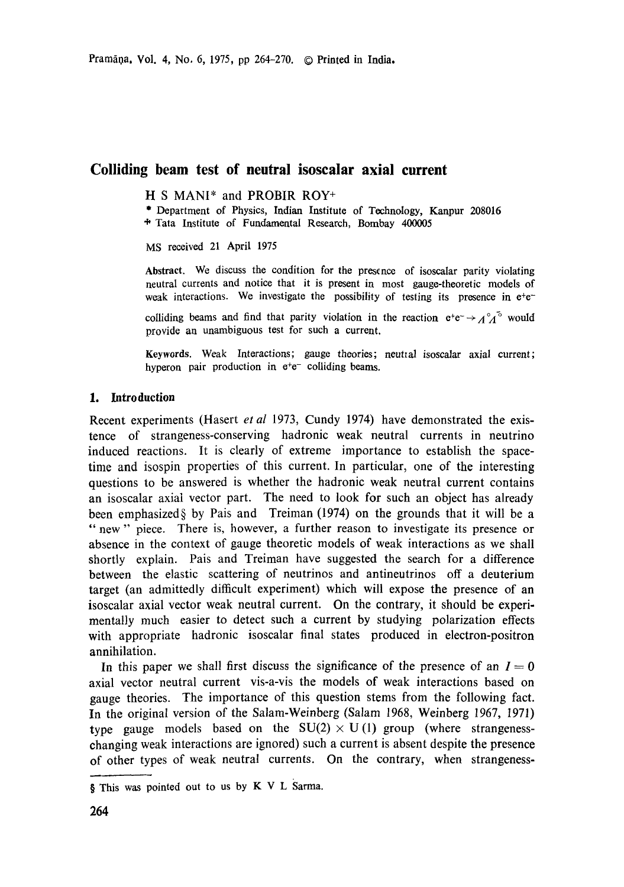# **Colliding beam test of neutral isoscalar axial current**

H S MANI\* and PROBIR ROY+

\* Department of Physics, Indian Institute of Technology, Kanpur 208016 "~ Tata Institute of Fundamental Research, Bombay 400005

MS received 21 April 1975

Abstract. We discuss the condition for the presence of isoscalar parity violating neutral currents and notice that it is present in most gauge-theoretic models of weak interactions. We investigate the possibility of testing its presence in e+e-

colliding beams and find that parity violation in the reaction  $e^+e^- \rightarrow A^0A^0$  would provide an unambiguous test for such a current.

Keywords. Weak Interactions; gauge theories; neutral isoscalar axial current; hyperon pair production in  $e^+e^-$  colliding beams.

#### **1. Introduction**

Recent experiments (Hasert *et al* 1973, Cundy 1974) have demonstrated the existence of strangeness-conserving hadronic weak neutral currents in neutrino induced reactions. It is clearly of extreme importance to establish the spacetime and isospin properties of this current. In particular, one of the interesting questions to be answered is whether the hadronic weak neutral current contains an isoscalar axial vector part. The need to look for such an object has already been emphasized§ by Pais and Treiman (1974) on the grounds that it will be a " new" piece. There is, however, a further reason to investigate its presence or absence in the context of gauge theoretic models of weak interactions as we shall shortly explain. Pais and Treiman have suggested the search for a difference between the elastic scattering of neutrinos and antineutrinos off a deuterium target (an admittedly difficult experiment) which will expose the presence of **an**  isoscalar axial vector weak neutral current. On the contrary, it should be experimentally much easier to detect such a current by studying polarization effects with appropriate hadronic isoscalar final states produced in electron-positron annihilation.

In this paper we shall first discuss the significance of the presence of an  $I = 0$ axial vector neutral current vis-a-vis the models of weak interactions based on gauge theories. The importance of this question stems from the following fact. In the original version of the Salam-Weinberg (Salam 1968, Weinberg 1967, 1971) type gauge models based on the  $SU(2) \times U(1)$  group (where strangenesschanging weak interactions are ignored) such a current is absent despite the presence of other types of weak neutral currents. On the contrary, when strangeness-

<sup>§</sup> This was pointed out to us by K V L Sarma.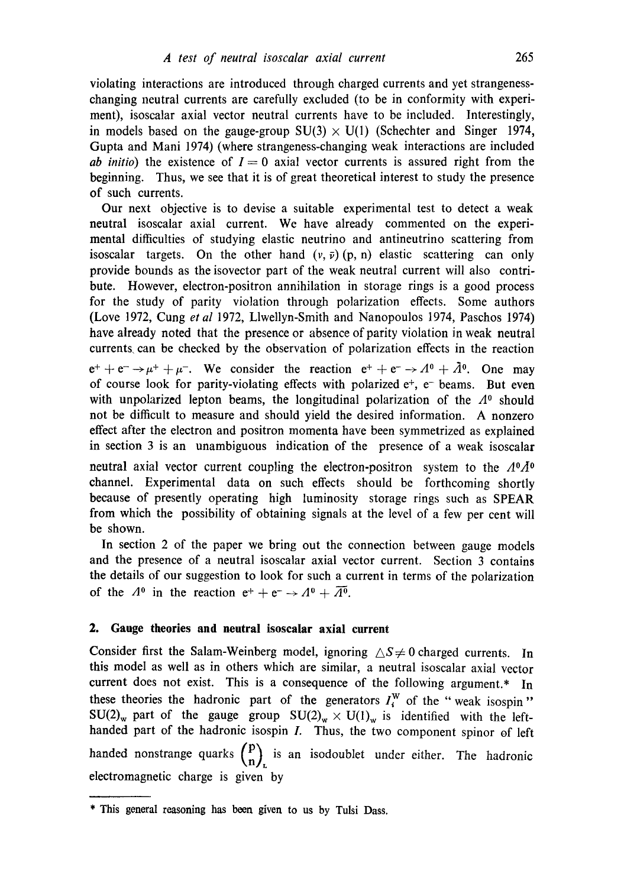violating interactions are introduced through charged currents and yet strangenesschanging neutral currents are carefully excluded (to be in conformity with experiment), isoscalar axial vector neutral currents have to be included. Interestingly, in models based on the gauge-group  $SU(3) \times U(1)$  (Schechter and Singer 1974, Gupta and Mani 1974) (where strangeness-changing weak interactions are included *ab initio*) the existence of  $I = 0$  axial vector currents is assured right from the beginning. Thus, we see that it is of great theoretical interest to study the presence of such currents.

Our next objective is to devise a suitable experimental test to detect a weak neutral isoscalar axial current. We have already commented on the experimental difficulties of studying elastic neutrino and antineutrino scattering from isoscalar targets. On the other hand  $(v, \bar{v})(p, n)$  elastic scattering can only provide bounds as the isovector part of the weak neutral current will also contribute. However, electron-positron annihilation in storage rings is a good process for the study of parity violation through polarization effects. Some authors (Love 1972, Cung *et al* 1972, Llwellyn-Smith and Nanopoulos 1974, Paschos 1974) have already noted that the presence or absence of parity violation in weak neutral currents, can be checked by the observation of polarization effects in the reaction

 $e^+ + e^- \rightarrow \mu^+ + \mu^-$ . We consider the reaction  $e^+ + e^- \rightarrow A^0 + \bar{A}^0$ . One may of course look for parity-violating effects with polarized  $e^+$ ,  $e^-$  beams. But even with unpolarized lepton beams, the longitudinal polarization of the  $\Lambda^0$  should not be difficult to measure and should yield the desired information. A nonzero effect after the electron and positron momenta have been symmetrized as explained in section 3 is an unambiguous indication of the presence of a weak isoscalar

neutral axial vector current coupling the electron-positron system to the  $\Lambda^0 \Lambda^0$ channel. Experimental data on such effects should be forthcoming shortly because of presently operating high luminosity storage rings such as SPEAR from which the possibility of obtaining signals at the level of a few per cent will be shown.

In section 2 of the paper we bring out the connection between gauge models and the presence of a neutral isoscalar axial vector current. Section 3 contains the details of our suggestion to look for such a current in terms of the polarization of the  $A^0$  in the reaction  $e^+ + e^- \rightarrow A^0 + \overline{A^0}$ .

#### **2. Gauge theories and neutral isosealar axial current**

Consider first the Salam-Weinberg model, ignoring  $\Delta S \neq 0$  charged currents. In this model as well as in others which are similar, a neutral isoscalar axial vector current does not exist. This is a consequence of the following argument.\* In these theories the hadronic part of the generators  $I_i^W$  of the "weak isospin"  $SU(2)_w$  part of the gauge group  $SU(2)_w \times U(1)_w$  is identified with the lefthanded part of the hadronic isospin  $I$ . Thus, the two component spinor of left handed nonstrange quarks  $\binom{p}{n}_k$  is an isodoublet under either. The hadronic electromagnetic charge is given by

<sup>\*</sup> This general reasoning has been given to us by Tulsi Dass.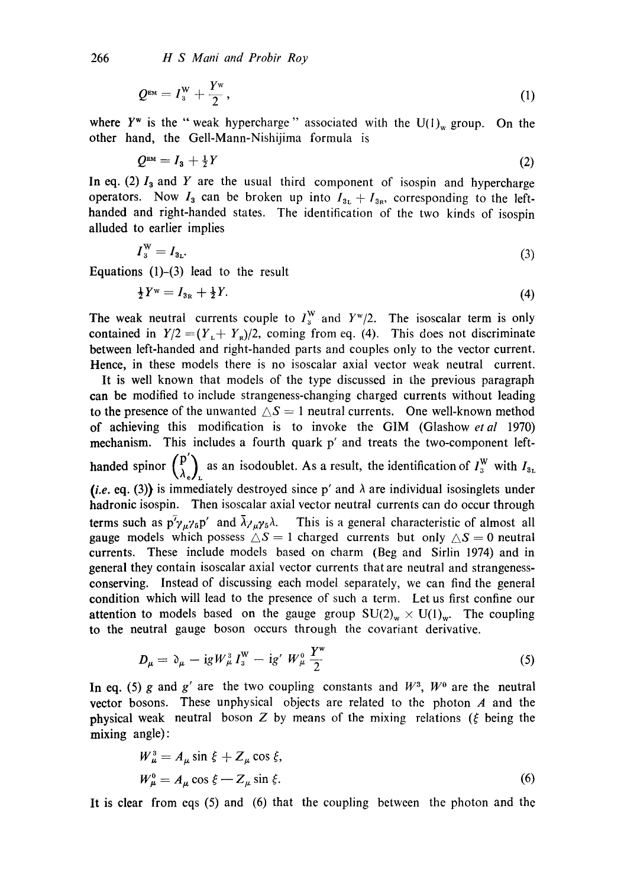266 *H S Mani and Probir Roy* 

$$
Q^{\text{EM}} = I_3^{\text{W}} + \frac{Y^{\text{W}}}{2}, \qquad (1)
$$

where  $Y^w$  is the "weak hypercharge" associated with the  $U(1)_w$  group. On the other hand, the Gell-Mann-Nishijima formula is

$$
Q^{\text{EM}} = I_3 + \frac{1}{2}Y \tag{2}
$$

In eq. (2)  $I_3$  and Y are the usual third component of isospin and hypercharge operators. Now  $I_3$  can be broken up into  $I_{3L} + I_{3R}$ , corresponding to the lefthanded and right-handed states. The identification of the two kinds of isospin alluded to earlier implies

$$
I_3^{\mathrm{W}} = I_{3\mathfrak{r}}.\tag{3}
$$

Equations  $(1)$ – $(3)$  lead to the result

$$
\frac{1}{2}Y^{\mathrm{w}} = I_{3\mathrm{R}} + \frac{1}{2}Y. \tag{4}
$$

The weak neutral currents couple to  $I_3^W$  and  $Y^W/2$ . The isoscalar term is only contained in  $Y/2 = (Y_L + Y_R)/2$ , coming from eq. (4). This does not discriminate between left-handed and right-handed parts and couples only to the vector current. Hence, in these models there is no isoscalar axial vector weak neutral current.

It is well known that models of the type discussed in the previous paragraph **can** be modified to include strangeness-changing charged currents without leading to the presence of the unwanted  $\triangle S = 1$  neutral currents. One well-known method **of** achieving this modification is to invoke the G1M (Glashow *etal* 1970) mechanism. This includes a fourth quark p' and treats the two-component lefthanded spinor  $\binom{p'}{\lambda_e}_L$  as an isodoublet. As a result, the identification of  $I_3^W$  with  $I_{3L}$ *(i.e. eq. (3))* is immediately destroyed since p' and  $\lambda$  are individual isosinglets under hadronic isospin. Then isoscalar axial vector neutral currents can do occur through terms such as  $p^7 \gamma_\mu \gamma_5 p'$  and  $\bar{\lambda} \gamma_\mu \gamma_5 \lambda$ . This is a general characteristic of almost all gauge models which possess  $\triangle S = 1$  charged currents but only  $\triangle S = 0$  neutral currents. These include models based on charm (Beg and Sirlin 1974) and in general they contain isoscalar axial vector currents that are neutral and strangenessconserving. Instead of discussing each model separately, we can find the general condition which will lead to the presence of such a term. Let us first confine our attention to models based on the gauge group  $SU(2)_w \times U(1)_w$ . The coupling to the neutral gauge boson occurs through the covariant derivative.

$$
D_{\mu} = \partial_{\mu} - igW_{\mu}^{3}I_{3}^{W} - igW_{\mu}^{0}\frac{Y^{w}}{2}
$$
 (5)

In eq. (5) g and g' are the two coupling constants and  $W^3$ ,  $W^0$  are the neutral vector bosons. These unphysical objects are related to the photon  $A$  and the physical weak neutral boson Z by means of the mixing relations ( $\xi$  being the mixing angle):

$$
W_{\mu}^{\text{S}} = A_{\mu} \sin \xi + Z_{\mu} \cos \xi,
$$
  
\n
$$
W_{\mu}^{\text{O}} = A_{\mu} \cos \xi - Z_{\mu} \sin \xi.
$$
 (6)

It is clear from eqs (5) and (6) that the coupling between the photon and the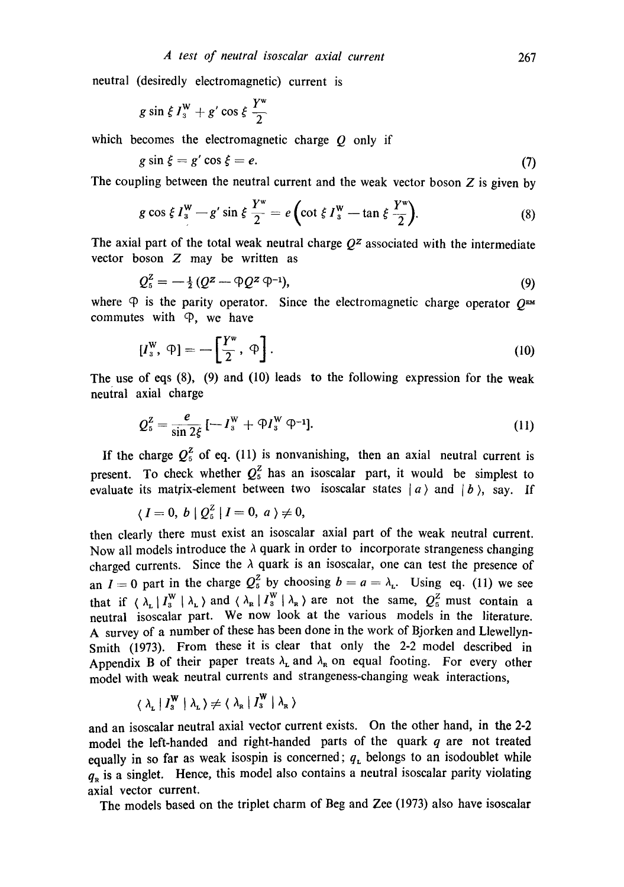neutral (desiredly electromagnetic) current is

$$
g\sin\xi I_3^{\mathrm{W}}+g'\cos\xi\,\frac{Y^{\mathrm{W}}}{2}
$$

which becomes the electromagnetic charge  $\hat{O}$  only if

$$
g\sin\xi = g'\cos\xi = e.\tag{7}
$$

The coupling between the neutral current and the weak vector boson  $Z$  is given by

$$
g\cos\xi I_3^{\mathbf{W}} - g'\sin\xi \frac{Y^{\mathbf{w}}}{2} = e\left(\cot\xi I_3^{\mathbf{W}} - \tan\xi \frac{Y^{\mathbf{w}}}{2}\right).
$$
 (8)

The axial part of the total weak neutral charge  $Q^z$  associated with the intermediate vector boson Z may be written as

$$
Q_5^2 = -\frac{1}{2} \left( Q^2 - \mathfrak{D} Q^2 \, \mathfrak{D}^{-1} \right),\tag{9}
$$

where  $\Phi$  is the parity operator. Since the electromagnetic charge operator  $O^{EM}$ commutes with  $\varphi$ , we have

$$
[I_{3}^{\mathrm{W}}, \ \varphi] = -\left[\frac{Y^{\mathrm{W}}}{2}, \ \varphi\right]. \tag{10}
$$

The use of eqs  $(8)$ ,  $(9)$  and  $(10)$  leads to the following expression for the weak neutral axial charge

$$
Q_5^2 = \frac{e}{\sin 2\xi} \left[ -I_3^W + \mathfrak{P} I_3^W \mathfrak{P}^{-1} \right]. \tag{11}
$$

If the charge  $Q_5^z$  of eq. (11) is nonvanishing, then an axial neutral current is present. To check whether  $Q_5^2$  has an isoscalar part, it would be simplest to evaluate its matrix-element between two isoscalar states  $|a\rangle$  and  $|b\rangle$ , say. If

$$
\langle I=0, b | Q_5^2 | I=0, a \rangle \neq 0,
$$

then clearly there must exist an isoscalar axial part of the weak neutral current. Now all models introduce the  $\lambda$  quark in order to incorporate strangeness changing charged currents. Since the  $\lambda$  quark is an isoscalar, one can test the presence of an  $I = 0$  part in the charge  $Q_5^2$  by choosing  $b = a = \lambda_L$ . Using eq. (11) we see that if  $(\lambda_L | I_3^W | \lambda_L)$  and  $(\lambda_R | I_3^W | \lambda_R)$  are not the same,  $Q_5^Z$  must contain a neutral isoscalar part. We now look at the various models in the literature. A survey of a number of these has been done in the work of Bjorken and Llewellyn-Smith (1973). From these it is clear that only the 2-2 model described in Appendix B of their paper treats  $\lambda_L$  and  $\lambda_R$  on equal footing. For every other model with weak neutral currents and strangeness-changing weak interactions.

$$
\langle \lambda_{\mathbf{L}} | I_{\mathbf{3}}^{\mathbf{W}} | \lambda_{\mathbf{L}} \rangle \neq \langle \lambda_{\mathbf{R}} | I_{\mathbf{3}}^{\mathbf{W}} | \lambda_{\mathbf{R}} \rangle
$$

and an isoscalar neutral axial vector current exists. On the other hand, in the 2-2 model the left-handed and right-handed parts of the quark  $q$  are not treated equally in so far as weak isospin is concerned;  $q_L$  belongs to an isodoublet while  $q<sub>n</sub>$  is a singlet. Hence, this model also contains a neutral isoscalar parity violating axial vector current.

The models based on the triplet charm of Beg and Zee (1973) also have isoscalar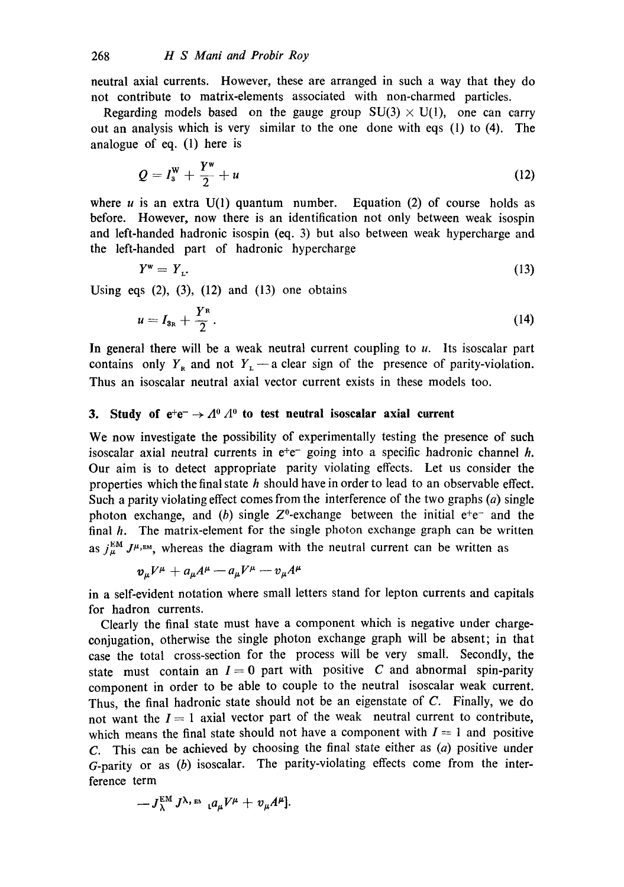neutral axial currents. However, these are arranged in such a way that they do not contribute to matrix-elements associated with non-charmed particles.

Regarding models based on the gauge group  $SU(3) \times U(1)$ , one can carry out an analysis which is very similar to the one done with eqs (1) to (4). The analogue of eq. (1) here is

$$
Q = I_3^W + \frac{Y^W}{2} + u \tag{12}
$$

where  $u$  is an extra  $U(1)$  quantum number. Equation (2) of course holds as before. However, now there is an identification not only between weak isospin and left-handed hadronic isospin (eq. 3) but also between weak hypercharge and the left-handed part of hadronic hypercharge

$$
Y^{\mathbf{w}} = Y_{\mathbf{L}}.\tag{13}
$$

Using eqs  $(2)$ ,  $(3)$ ,  $(12)$  and  $(13)$  one obtains

$$
u=I_{3R}+\frac{Y^R}{2}.
$$
 (14)

In general there will be a weak neutral current coupling to  $u$ . Its isoscalar part contains only  $Y_R$  and not  $Y_L$  - a clear sign of the presence of parity-violation. Thus an isoscalar neutral axial vector current exists in these models too.

## **3.** Study of  $e^+e^- \rightarrow A^0 A^0$  to test neutral isoscalar axial current

We now investigate the possibility of experimentally testing the presence of such isoscalar axial neutral currents in  $e^+e^-$  going into a specific hadronic channel h. Our aim is to detect appropriate parity violating effects. Let us consider the properties which the final state  $h$  should have in order to lead to an observable effect. Such a parity violating effect comes from the interference of the two graphs  $(a)$  single photon exchange, and (b) single  $Z^0$ -exchange between the initial  $e^+e^-$  and the final  $h$ . The matrix-element for the single photon exchange graph can be written as  $j_{\mu}^{EM} J^{\mu, \text{em}}$ , whereas the diagram with the neutral current can be written as

$$
v_{\mu}V^{\mu}+a_{\mu}A^{\mu}-a_{\mu}V^{\mu}-v_{\mu}A^{\mu}
$$

in a self-evident notation where small letters stand for lepton currents and capitals for hadron currents.

Clearly the final state must have a component which is negative under chargeconjugation, otherwise the single photon exchange graph will be absent; in that case the total cross-section for the process will be very small. Secondly, the state must contain an  $I = 0$  part with positive C and abnormal spin-parity component in order to be able to couple to the neutral isoscalar weak current. Thus, the final hadronic state should not be an eigenstate of C. Finally, we do not want the  $I = 1$  axial vector part of the weak neutral current to contribute, which means the final state should not have a component with  $I = 1$  and positive C. This can be achieved by choosing the final state either as  $(a)$  positive under  $G$ -parity or as  $(b)$  isoscalar. The parity-violating effects come from the interference term

$$
-J_{\lambda}^{\text{EM}} J^{\lambda,\text{th}} \mathcal{A}^{\mu} + v_{\mu} A^{\mu}].
$$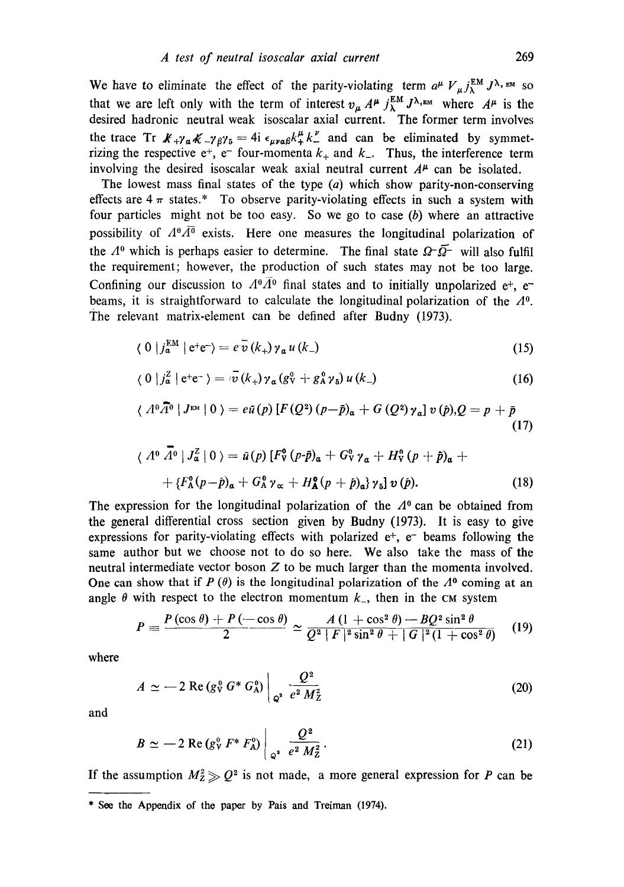We have to eliminate the effect of the parity-violating term  $a^{\mu} V_{\mu} j_{\lambda}^{\text{EM}} J^{\lambda, \text{EM}}$  so that we are left only with the term of interest  $v_{\mu} A^{\mu} j_{\lambda}^{\text{max}} J^{\lambda,\text{max}}$  where  $A^{\mu}$  is the desired hadronic neutral weak isoscalar axial current. The former term involves the trace Tr  $\mathcal{K}_+ \gamma_\alpha \mathcal{K}_- \gamma_\beta \gamma_5 = 4i \epsilon_{\mu\nu\alpha\beta} k_+^{\mu} k_-^{\nu}$  and can be eliminated by symmetrizing the respective  $e^+$ ,  $e^-$  four-momenta  $k_+$  and  $k_-$ . Thus, the interference term involving the desired isoscalar weak axial neutral current  $A^{\mu}$  can be isolated.

The lowest mass final states of the type  $(a)$  which show parity-non-conserving effects are  $4\pi$  states.\* To observe parity-violating effects in such a system with four particles might not be too easy. So we go to case  $(b)$  where an attractive possibility of  $A^0 \overline{A^0}$  exists. Here one measures the longitudinal polarization of the  $A^0$  which is perhaps easier to determine. The final state  $\Omega^-\overline{\Omega}^-$  will also fulfil the requirement; however, the production of such states may not be too large. Confining our discussion to  $A^0\overline{A}{}^0$  final states and to initially unpolarized e<sup>+</sup>, e<sup>-</sup> beams, it is straightforward to calculate the longitudinal polarization of the  $\Lambda^0$ . The relevant matrix-element can be defined after Budny (1973).

$$
\langle 0 | j_{\mathfrak{a}}^{\text{EM}} | e^+ e^- \rangle = e^{\frac{\tau}{\mathcal{V}}}(k_+) \gamma_{\mathfrak{a}} u(k_-) \tag{15}
$$

$$
\langle 0 | j_a^Z | e^+ e^- \rangle = \overline{\tilde{v}(k_+)} \gamma_a (g_V^0 + g_A^0 \gamma_5) u (k_-)
$$
 (16)

$$
\langle A^{0}\overline{A}^{0} | J^{\text{EM}} | 0 \rangle = e\overline{u}(p) \left[ F(Q^{2}) (p - \overline{p})_{\alpha} + G(Q^{2}) \gamma_{\alpha} \right] v(p), Q = p + \overline{p}
$$
\n(17)

$$
\langle A^{0} \bar{A}^{0} | J_{\alpha}^{Z} | 0 \rangle = \tilde{u}(p) \left[ F_{\nu}^{0} (p \cdot \tilde{p})_{\alpha} + G_{\nu}^{0} \gamma_{\alpha} + H_{\nu}^{0} (p + \tilde{p})_{\alpha} + \right. \\ \left. + \left\{ F_{\alpha}^{0} (p - \tilde{p})_{\alpha} + G_{\alpha}^{0} \gamma_{\alpha} + H_{\alpha}^{0} (p + \tilde{p})_{\alpha} \right\} \gamma_{5} \right] v(\tilde{p}). \tag{18}
$$

The expression for the longitudinal polarization of the  $\Lambda^0$  can be obtained from the general differential cross section given by Budny (1973). It is easy to give expressions for parity-violating effects with polarized  $e^+$ ,  $e^-$  beams following the same author but we choose not to do so here. We also take the mass of the neutral intermediate vector boson  $Z$  to be much larger than the momenta involved. One can show that if  $P(\theta)$  is the longitudinal polarization of the  $\Lambda^0$  coming at an angle  $\theta$  with respect to the electron momentum  $k<sub>-</sub>$ , then in the CM system

$$
P = \frac{P(\cos \theta) + P(-\cos \theta)}{2} \simeq \frac{A (1 + \cos^2 \theta) - B Q^2 \sin^2 \theta}{Q^2 + F |^2 \sin^2 \theta + |G|^2 (1 + \cos^2 \theta)} \qquad (19)
$$

where

$$
A \simeq -2 \operatorname{Re} \left( g_Y^0 G^* G_A^0 \right) \Big|_{\mathcal{Q}^2} \frac{Q^2}{e^2 M_Z^2} \tag{20}
$$

and

$$
B \simeq -2 \text{ Re} (g_V^0 F^* F_A^0) \bigg|_{Q^2} \frac{Q^2}{e^2 M_Z^2}.
$$
 (21)

If the assumption  $M_Z^2 \geqslant Q^2$  is not made, a more general expression for P can be

<sup>\*</sup> Seo the Appendix of tho paper by Pais and Treiman (1974).